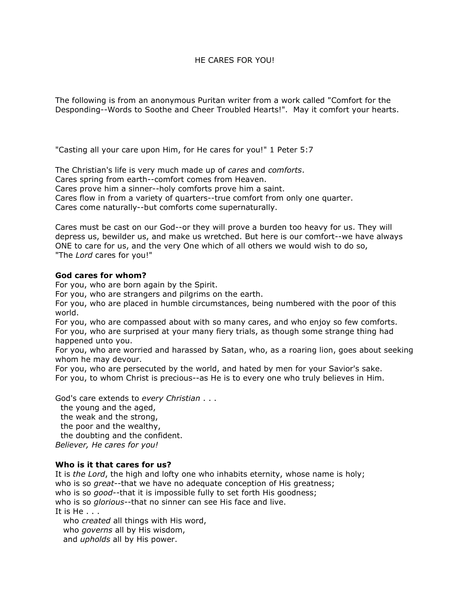## HE CARES FOR YOU!

The following is from an anonymous Puritan writer from a work called "Comfort for the Desponding--Words to Soothe and Cheer Troubled Hearts!". May it comfort your hearts.

"Casting all your care upon Him, for He cares for you!" 1 Peter 5:7

The Christian's life is very much made up of *cares* and *comforts*. Cares spring from earth--comfort comes from Heaven. Cares prove him a sinner--holy comforts prove him a saint. Cares flow in from a variety of quarters--true comfort from only one quarter. Cares come naturally--but comforts come supernaturally.

Cares must be cast on our God--or they will prove a burden too heavy for us. They will depress us, bewilder us, and make us wretched. But here is our comfort--we have always ONE to care for us, and the very One which of all others we would wish to do so, "The *Lord* cares for you!"

## **God cares for whom?**

For you, who are born again by the Spirit.

For you, who are strangers and pilgrims on the earth.

For you, who are placed in humble circumstances, being numbered with the poor of this world.

For you, who are compassed about with so many cares, and who enjoy so few comforts. For you, who are surprised at your many fiery trials, as though some strange thing had happened unto you.

For you, who are worried and harassed by Satan, who, as a roaring lion, goes about seeking whom he may devour.

For you, who are persecuted by the world, and hated by men for your Savior's sake. For you, to whom Christ is precious--as He is to every one who truly believes in Him.

God's care extends to *every Christian* . . .

the young and the aged, the weak and the strong, the poor and the wealthy, the doubting and the confident. *Believer, He cares for you!*

## **Who is it that cares for us?**

It is *the Lord*, the high and lofty one who inhabits eternity, whose name is holy; who is so *great--*that we have no adequate conception of His greatness; who is so *good--*that it is impossible fully to set forth His goodness; who is so *glorious--*that no sinner can see His face and live. It is He . . . who *created* all things with His word,

who *governs* all by His wisdom,

and *upholds* all by His power.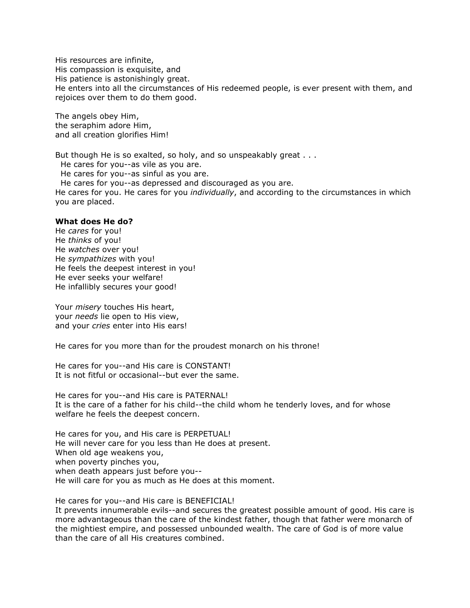His resources are infinite, His compassion is exquisite, and His patience is astonishingly great. He enters into all the circumstances of His redeemed people, is ever present with them, and rejoices over them to do them good.

The angels obey Him, the seraphim adore Him, and all creation glorifies Him!

But though He is so exalted, so holy, and so unspeakably great . . .

He cares for you--as vile as you are.

He cares for you--as sinful as you are.

He cares for you--as depressed and discouraged as you are. He cares for you. He cares for you *individually*, and according to the circumstances in which you are placed.

## **What does He do?**

He *cares* for you! He *thinks* of you! He *watches* over you! He *sympathizes* with you! He feels the deepest interest in you! He ever seeks your welfare! He infallibly secures your good!

Your *misery* touches His heart, your *needs* lie open to His view, and your *cries* enter into His ears!

He cares for you more than for the proudest monarch on his throne!

He cares for you--and His care is CONSTANT! It is not fitful or occasional--but ever the same.

He cares for you--and His care is PATERNAL! It is the care of a father for his child--the child whom he tenderly loves, and for whose welfare he feels the deepest concern.

He cares for you, and His care is PERPETUAL! He will never care for you less than He does at present. When old age weakens you, when poverty pinches you, when death appears just before you-- He will care for you as much as He does at this moment.

He cares for you--and His care is BENEFICIAL! It prevents innumerable evils--and secures the greatest possible amount of good. His care is more advantageous than the care of the kindest father, though that father were monarch of the mightiest empire, and possessed unbounded wealth. The care of God is of more value than the care of all His creatures combined.